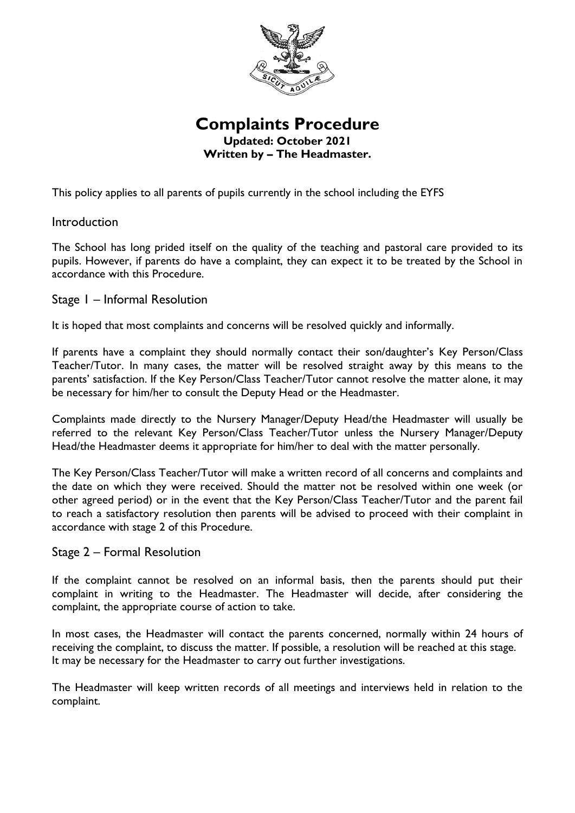

# **Complaints Procedure Updated: October 2021 Written by – The Headmaster.**

This policy applies to all parents of pupils currently in the school including the EYFS

## Introduction

The School has long prided itself on the quality of the teaching and pastoral care provided to its pupils. However, if parents do have a complaint, they can expect it to be treated by the School in accordance with this Procedure.

### Stage 1 – Informal Resolution

It is hoped that most complaints and concerns will be resolved quickly and informally.

If parents have a complaint they should normally contact their son/daughter's Key Person/Class Teacher/Tutor. In many cases, the matter will be resolved straight away by this means to the parents' satisfaction. If the Key Person/Class Teacher/Tutor cannot resolve the matter alone, it may be necessary for him/her to consult the Deputy Head or the Headmaster.

Complaints made directly to the Nursery Manager/Deputy Head/the Headmaster will usually be referred to the relevant Key Person/Class Teacher/Tutor unless the Nursery Manager/Deputy Head/the Headmaster deems it appropriate for him/her to deal with the matter personally.

The Key Person/Class Teacher/Tutor will make a written record of all concerns and complaints and the date on which they were received. Should the matter not be resolved within one week (or other agreed period) or in the event that the Key Person/Class Teacher/Tutor and the parent fail to reach a satisfactory resolution then parents will be advised to proceed with their complaint in accordance with stage 2 of this Procedure.

#### Stage 2 – Formal Resolution

If the complaint cannot be resolved on an informal basis, then the parents should put their complaint in writing to the Headmaster. The Headmaster will decide, after considering the complaint, the appropriate course of action to take.

In most cases, the Headmaster will contact the parents concerned, normally within 24 hours of receiving the complaint, to discuss the matter. If possible, a resolution will be reached at this stage. It may be necessary for the Headmaster to carry out further investigations.

The Headmaster will keep written records of all meetings and interviews held in relation to the complaint.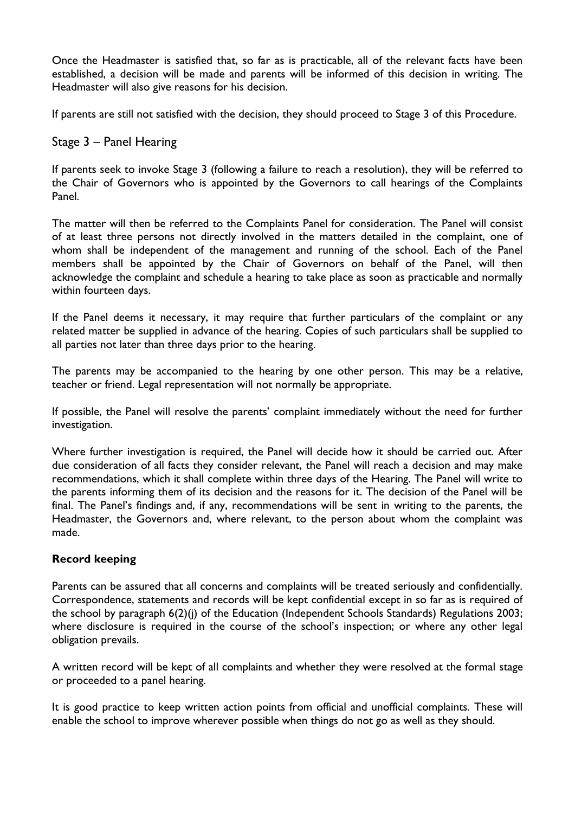Once the Headmaster is satisfied that, so far as is practicable, all of the relevant facts have been established, a decision will be made and parents will be informed of this decision in writing. The Headmaster will also give reasons for his decision.

If parents are still not satisfied with the decision, they should proceed to Stage 3 of this Procedure.

#### Stage 3 – Panel Hearing

If parents seek to invoke Stage 3 (following a failure to reach a resolution), they will be referred to the Chair of Governors who is appointed by the Governors to call hearings of the Complaints Panel.

The matter will then be referred to the Complaints Panel for consideration. The Panel will consist of at least three persons not directly involved in the matters detailed in the complaint, one of whom shall be independent of the management and running of the school. Each of the Panel members shall be appointed by the Chair of Governors on behalf of the Panel, will then acknowledge the complaint and schedule a hearing to take place as soon as practicable and normally within fourteen days.

If the Panel deems it necessary, it may require that further particulars of the complaint or any related matter be supplied in advance of the hearing. Copies of such particulars shall be supplied to all parties not later than three days prior to the hearing.

The parents may be accompanied to the hearing by one other person. This may be a relative, teacher or friend. Legal representation will not normally be appropriate.

If possible, the Panel will resolve the parents' complaint immediately without the need for further investigation.

Where further investigation is required, the Panel will decide how it should be carried out. After due consideration of all facts they consider relevant, the Panel will reach a decision and may make recommendations, which it shall complete within three days of the Hearing. The Panel will write to the parents informing them of its decision and the reasons for it. The decision of the Panel will be final. The Panel's findings and, if any, recommendations will be sent in writing to the parents, the Headmaster, the Governors and, where relevant, to the person about whom the complaint was made.

#### **Record keeping**

Parents can be assured that all concerns and complaints will be treated seriously and confidentially. Correspondence, statements and records will be kept confidential except in so far as is required of the school by paragraph 6(2)(j) of the Education (Independent Schools Standards) Regulations 2003; where disclosure is required in the course of the school's inspection; or where any other legal obligation prevails.

A written record will be kept of all complaints and whether they were resolved at the formal stage or proceeded to a panel hearing.

It is good practice to keep written action points from official and unofficial complaints. These will enable the school to improve wherever possible when things do not go as well as they should.